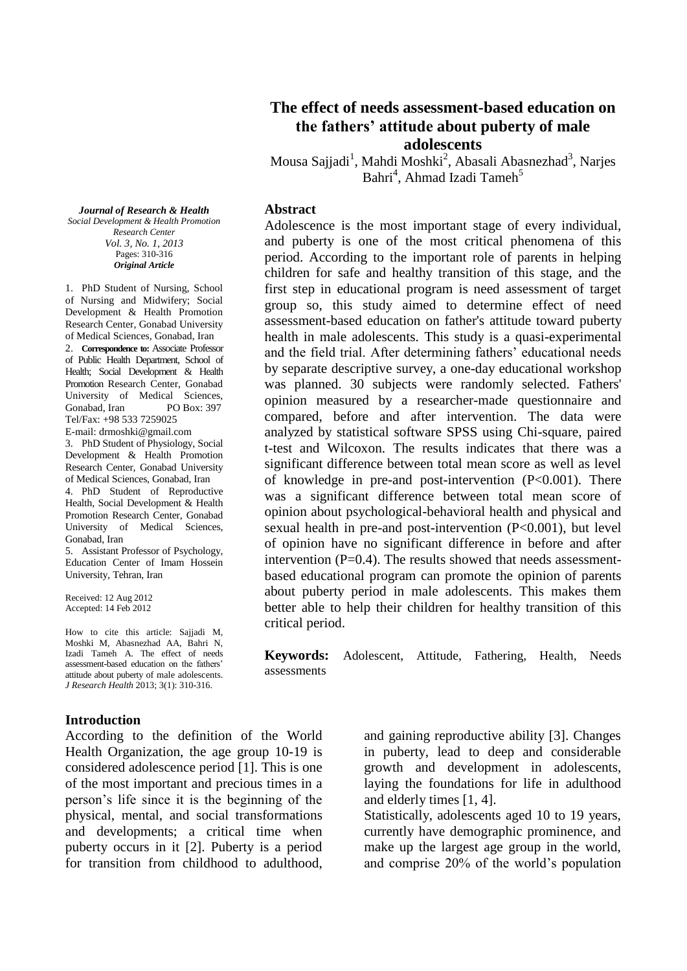*Journal of Research & Health Social Development & Health Promotion Research Center Vol. 3, No. 1, 2013* Pages: 310-316 *Original Article*

1. PhD Student of Nursing, School of Nursing and Midwifery; Social Development & Health Promotion Research Center, Gonabad University of Medical Sciences, Gonabad, Iran 2. **Correspondence to:** Associate Professor of Public Health Department, School of Health; Social Development & Health Promotion Research Center, Gonabad University of Medical Sciences, Gonabad, Iran PO Box: 397 Tel/Fax: +98 533 7259025 E-mail: drmoshki@gmail.com 3. PhD Student of Physiology, Social

Development & Health Promotion Research Center, Gonabad University of Medical Sciences, Gonabad, Iran 4. PhD Student of Reproductive Health, Social Development & Health Promotion Research Center, Gonabad University of Medical Sciences, Gonabad, Iran

5. Assistant Professor of Psychology, Education Center of Imam Hossein University, Tehran, Iran

Received: 12 Aug 2012 Accepted: 14 Feb 2012

How to cite this article: Sajjadi M, Moshki M, Abasnezhad AA, Bahri N, Izadi Tameh A. The effect of needs assessment-based education on the fathers' attitude about puberty of male adolescents. *J Research Health* 2013; 3(1): 310-316.

### **Introduction**

According to the definition of the World Health Organization, the age group 10-19 is considered adolescence period [1]. This is one of the most important and precious times in a person's life since it is the beginning of the physical, mental, and social transformations and developments; a critical time when puberty occurs in it [2]. Puberty is a period for transition from childhood to adulthood,

## **The effect of needs assessment-based education on the fathers' attitude about puberty of male adolescents**

Mousa Sajjadi<sup>1</sup>, Mahdi Moshki<sup>2</sup>, Abasali Abasnezhad<sup>3</sup>, Narjes Bahri<sup>4</sup>, Ahmad Izadi Tameh<sup>5</sup>

#### **Abstract**

Adolescence is the most important stage of every individual, and puberty is one of the most critical phenomena of this period. According to the important role of parents in helping children for safe and healthy transition of this stage, and the first step in educational program is need assessment of target group so, this study aimed to determine effect of need assessment-based education on father's attitude toward puberty health in male adolescents. This study is a quasi-experimental and the field trial. After determining fathers' educational needs by separate descriptive survey, a one-day educational workshop was planned. 30 subjects were randomly selected. Fathers' opinion measured by a researcher-made questionnaire and compared, before and after intervention. The data were analyzed by statistical software SPSS using Chi-square, paired t-test and Wilcoxon. The results indicates that there was a significant difference between total mean score as well as level of knowledge in pre-and post-intervention (P<0.001). There was a significant difference between total mean score of opinion about psychological-behavioral health and physical and sexual health in pre-and post-intervention (P<0.001), but level of opinion have no significant difference in before and after intervention  $(P=0.4)$ . The results showed that needs assessmentbased educational program can promote the opinion of parents about puberty period in male adolescents. This makes them better able to help their children for healthy transition of this critical period.

**Keywords:** Adolescent, Attitude, Fathering, Health, Needs assessments

> and gaining reproductive ability [3]. Changes in puberty, lead to deep and considerable growth and development in adolescents, laying the foundations for life in adulthood and elderly times [1, 4].

> Statistically, adolescents aged 10 to 19 years, currently have demographic prominence, and make up the largest age group in the world, and comprise 20% of the world's population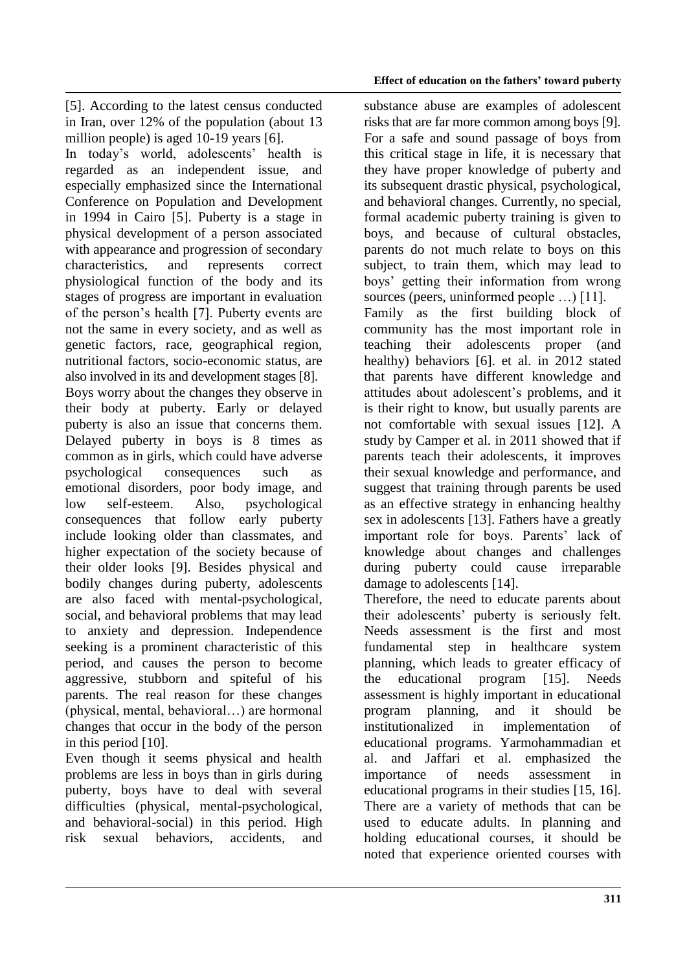[5]. According to the latest census conducted in Iran, over 12% of the population (about 13 million people) is aged 10-19 years [6].

In today's world, adolescents' health is regarded as an independent issue, and especially emphasized since the International Conference on Population and Development in 1994 in Cairo [5]. Puberty is a stage in physical development of a person associated with appearance and progression of secondary characteristics, and represents correct physiological function of the body and its stages of progress are important in evaluation of the person's health [7]. Puberty events are not the same in every society, and as well as genetic factors, race, geographical region, nutritional factors, socio-economic status, are also involved in its and development stages [8]. Boys worry about the changes they observe in their body at puberty. Early or delayed puberty is also an issue that concerns them. Delayed puberty in boys is 8 times as common as in girls, which could have adverse psychological consequences such as emotional disorders, poor body image, and low self-esteem. Also, psychological consequences that follow early puberty include looking older than classmates, and higher expectation of the society because of their older looks [9]. Besides physical and bodily changes during puberty, adolescents are also faced with mental-psychological, social, and behavioral problems that may lead to anxiety and depression. Independence seeking is a prominent characteristic of this period, and causes the person to become aggressive, stubborn and spiteful of his parents. The real reason for these changes (physical, mental, behavioral…) are hormonal changes that occur in the body of the person in this period [10].

Even though it seems physical and health problems are less in boys than in girls during puberty, boys have to deal with several difficulties (physical, mental-psychological, and behavioral-social) in this period. High risk sexual behaviors, accidents, and

substance abuse are examples of adolescent risks that are far more common among boys [9]. For a safe and sound passage of boys from this critical stage in life, it is necessary that they have proper knowledge of puberty and its subsequent drastic physical, psychological, and behavioral changes. Currently, no special, formal academic puberty training is given to boys, and because of cultural obstacles, parents do not much relate to boys on this subject, to train them, which may lead to boys' getting their information from wrong sources (peers, uninformed people …) [11]. Family as the first building block of community has the most important role in teaching their adolescents proper (and healthy) behaviors [6]. et al. in 2012 stated that parents have different knowledge and attitudes about adolescent's problems, and it is their right to know, but usually parents are not comfortable with sexual issues [12]. A study by Camper et al. in 2011 showed that if parents teach their adolescents, it improves their sexual knowledge and performance, and suggest that training through parents be used as an effective strategy in enhancing healthy sex in adolescents [13]. Fathers have a greatly important role for boys. Parents' lack of knowledge about changes and challenges during puberty could cause irreparable damage to adolescents [14].

Therefore, the need to educate parents about their adolescents' puberty is seriously felt. Needs assessment is the first and most fundamental step in healthcare system planning, which leads to greater efficacy of the educational program [15]. Needs assessment is highly important in educational program planning, and it should be institutionalized in implementation of educational programs. Yarmohammadian et al. and Jaffari et al. emphasized the importance of needs assessment in educational programs in their studies [15, 16]. There are a variety of methods that can be used to educate adults. In planning and holding educational courses, it should be noted that experience oriented courses with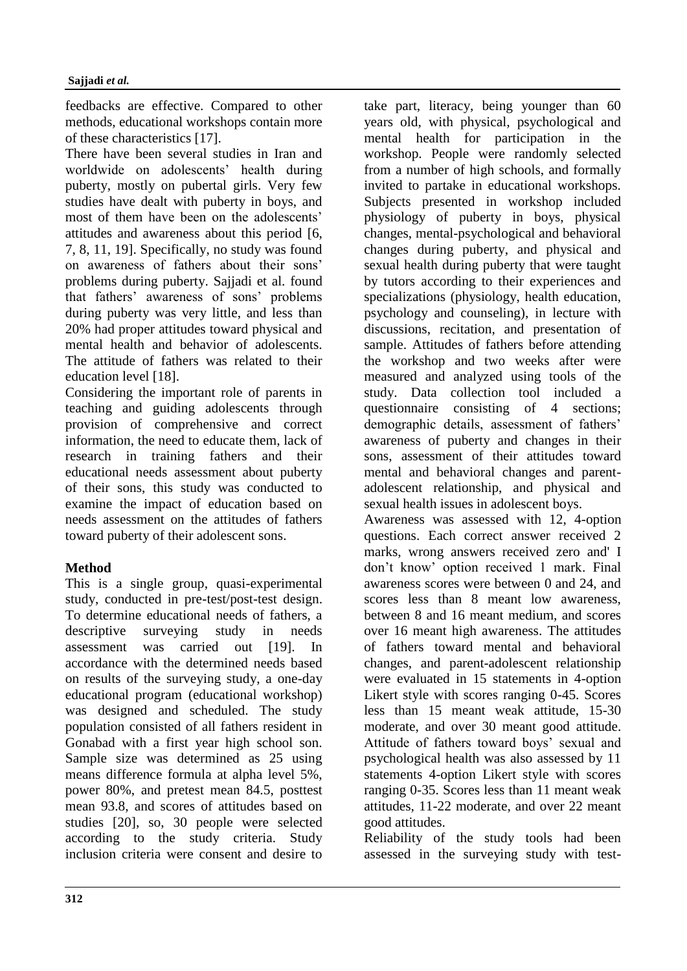feedbacks are effective. Compared to other methods, educational workshops contain more of these characteristics [17].

There have been several studies in Iran and worldwide on adolescents' health during puberty, mostly on pubertal girls. Very few studies have dealt with puberty in boys, and most of them have been on the adolescents' attitudes and awareness about this period [6, 7, 8, 11, 19]. Specifically, no study was found on awareness of fathers about their sons' problems during puberty. Sajjadi et al. found that fathers' awareness of sons' problems during puberty was very little, and less than 20% had proper attitudes toward physical and mental health and behavior of adolescents. The attitude of fathers was related to their education level [18].

Considering the important role of parents in teaching and guiding adolescents through provision of comprehensive and correct information, the need to educate them, lack of research in training fathers and their educational needs assessment about puberty of their sons, this study was conducted to examine the impact of education based on needs assessment on the attitudes of fathers toward puberty of their adolescent sons.

## **Method**

This is a single group, quasi-experimental study, conducted in pre-test/post-test design. To determine educational needs of fathers, a descriptive surveying study in needs assessment was carried out [19]. In accordance with the determined needs based on results of the surveying study, a one-day educational program (educational workshop) was designed and scheduled. The study population consisted of all fathers resident in Gonabad with a first year high school son. Sample size was determined as 25 using means difference formula at alpha level 5%, power 80%, and pretest mean 84.5, posttest mean 93.8, and scores of attitudes based on studies [20], so, 30 people were selected according to the study criteria. Study inclusion criteria were consent and desire to

take part, literacy, being younger than 60 years old, with physical, psychological and mental health for participation in the workshop. People were randomly selected from a number of high schools, and formally invited to partake in educational workshops. Subjects presented in workshop included physiology of puberty in boys, physical changes, mental-psychological and behavioral changes during puberty, and physical and sexual health during puberty that were taught by tutors according to their experiences and specializations (physiology, health education, psychology and counseling), in lecture with discussions, recitation, and presentation of sample. Attitudes of fathers before attending the workshop and two weeks after were measured and analyzed using tools of the study. Data collection tool included a questionnaire consisting of 4 sections; demographic details, assessment of fathers' awareness of puberty and changes in their sons, assessment of their attitudes toward mental and behavioral changes and parentadolescent relationship, and physical and sexual health issues in adolescent boys. Awareness was assessed with 12, 4-option questions. Each correct answer received 2 marks, wrong answers received zero and' I don't know' option received 1 mark. Final awareness scores were between 0 and 24, and scores less than 8 meant low awareness, between 8 and 16 meant medium, and scores over 16 meant high awareness. The attitudes of fathers toward mental and behavioral changes, and parent-adolescent relationship were evaluated in 15 statements in 4-option Likert style with scores ranging 0-45. Scores less than 15 meant weak attitude, 15-30 moderate, and over 30 meant good attitude. Attitude of fathers toward boys' sexual and psychological health was also assessed by 11 statements 4-option Likert style with scores ranging 0-35. Scores less than 11 meant weak attitudes, 11-22 moderate, and over 22 meant good attitudes.

Reliability of the study tools had been assessed in the surveying study with test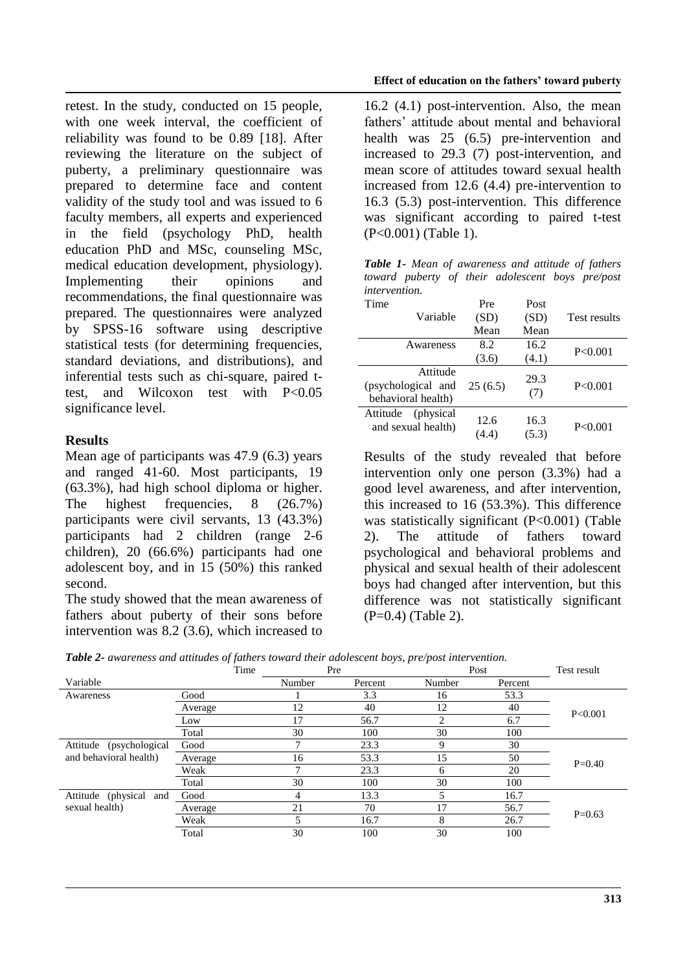retest. In the study, conducted on 15 people, with one week interval, the coefficient of reliability was found to be 0.89 [18]. After reviewing the literature on the subject of puberty, a preliminary questionnaire was prepared to determine face and content validity of the study tool and was issued to 6 faculty members, all experts and experienced in the field (psychology PhD, health education PhD and MSc, counseling MSc, medical education development, physiology). Implementing their opinions and recommendations, the final questionnaire was prepared. The questionnaires were analyzed by SPSS-16 software using descriptive statistical tests (for determining frequencies, standard deviations, and distributions), and inferential tests such as chi-square, paired ttest, and Wilcoxon test with P<0.05 significance level.

## **Results**

Mean age of participants was 47.9 (6.3) years and ranged 41-60. Most participants, 19 (63.3%), had high school diploma or higher. The highest frequencies, 8 (26.7%) participants were civil servants, 13 (43.3%) participants had 2 children (range 2-6 children), 20 (66.6%) participants had one adolescent boy, and in 15 (50%) this ranked second.

The study showed that the mean awareness of fathers about puberty of their sons before intervention was 8.2 (3.6), which increased to 16.2 (4.1) post-intervention. Also, the mean fathers' attitude about mental and behavioral health was 25 (6.5) pre-intervention and increased to 29.3 (7) post-intervention, and mean score of attitudes toward sexual health increased from 12.6 (4.4) pre-intervention to 16.3 (5.3) post-intervention. This difference was significant according to paired t-test (P<0.001) (Table 1).

*Table 1- Mean of awareness and attitude of fathers toward puberty of their adolescent boys pre/post intervention.*

| Time     |                    | Pre     | Post  |              |
|----------|--------------------|---------|-------|--------------|
|          | Variable           | (SD)    | (SD)  | Test results |
|          |                    | Mean    | Mean  |              |
|          | Awareness          | 8.2     | 16.2  | P<0.001      |
|          |                    | (3.6)   | (4.1) |              |
|          | Attitude           |         | 29.3  |              |
|          | (psychological and | 25(6.5) | (7)   | P < 0.001    |
|          | behavioral health) |         |       |              |
| Attitude | (physical)         | 12.6    | 16.3  |              |
|          | and sexual health) |         |       | P<0.001      |
|          |                    | (4.4)   | (5.3) |              |

Results of the study revealed that before intervention only one person (3.3%) had a good level awareness, and after intervention, this increased to 16 (53.3%). This difference was statistically significant (P<0.001) (Table 2). The attitude of fathers toward psychological and behavioral problems and physical and sexual health of their adolescent boys had changed after intervention, but this difference was not statistically significant (P=0.4) (Table 2).

| Table 2- awareness and attitudes of fathers toward their adolescent boys, pre/post intervention. |  |  |  |
|--------------------------------------------------------------------------------------------------|--|--|--|
|--------------------------------------------------------------------------------------------------|--|--|--|

|                                                      | <u>v v</u><br>Time | .<br>Pre |         | Post   |         | Test result |
|------------------------------------------------------|--------------------|----------|---------|--------|---------|-------------|
| Variable                                             |                    | Number   | Percent | Number | Percent |             |
| Awareness                                            | Good               |          | 3.3     | 16     | 53.3    |             |
|                                                      | Average            | 12       | 40      | 12     | 40      | P < 0.001   |
|                                                      | Low                | 17       | 56.7    | 2      | 6.7     |             |
|                                                      | Total              | 30       | 100     | 30     | 100     |             |
| Attitude<br>(psychological<br>and behavioral health) | Good               |          | 23.3    | 9      | 30      | $P=0.40$    |
|                                                      | Average            | 16       | 53.3    | 15     | 50      |             |
|                                                      | Weak               |          | 23.3    | 6      | 20      |             |
|                                                      | Total              | 30       | 100     | 30     | 100     |             |
| Attitude (physical and<br>sexual health)             | Good               | 4        | 13.3    |        | 16.7    |             |
|                                                      | Average            | 21       | 70      | 17     | 56.7    | $P=0.63$    |
|                                                      | Weak               |          | 16.7    | 8      | 26.7    |             |
|                                                      | Total              | 30       | 100     | 30     | 100     |             |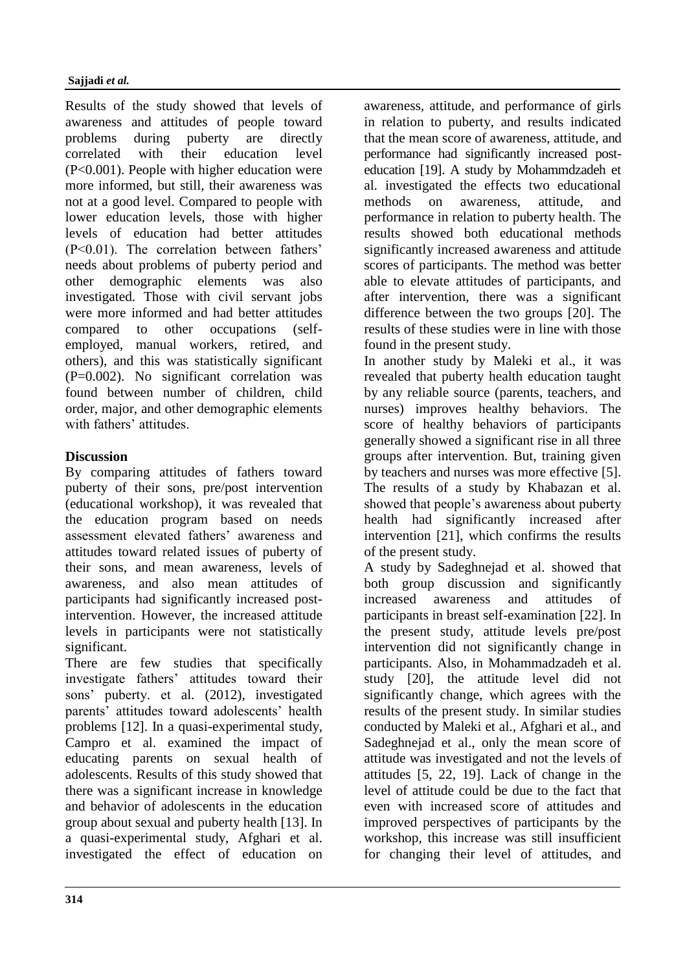Results of the study showed that levels of awareness and attitudes of people toward problems during puberty are directly correlated with their education level (P<0.001). People with higher education were more informed, but still, their awareness was not at a good level. Compared to people with lower education levels, those with higher levels of education had better attitudes (P<0.01). The correlation between fathers' needs about problems of puberty period and other demographic elements was also investigated. Those with civil servant jobs were more informed and had better attitudes compared to other occupations (selfemployed, manual workers, retired, and others), and this was statistically significant (P=0.002). No significant correlation was found between number of children, child order, major, and other demographic elements with fathers' attitudes

## **Discussion**

By comparing attitudes of fathers toward puberty of their sons, pre/post intervention (educational workshop), it was revealed that the education program based on needs assessment elevated fathers' awareness and attitudes toward related issues of puberty of their sons, and mean awareness, levels of awareness, and also mean attitudes of participants had significantly increased postintervention. However, the increased attitude levels in participants were not statistically significant.

There are few studies that specifically investigate fathers' attitudes toward their sons' puberty. et al. (2012), investigated parents' attitudes toward adolescents' health problems [12]. In a quasi-experimental study, Campro et al. examined the impact of educating parents on sexual health of adolescents. Results of this study showed that there was a significant increase in knowledge and behavior of adolescents in the education group about sexual and puberty health [13]. In a quasi-experimental study, Afghari et al. investigated the effect of education on

awareness, attitude, and performance of girls in relation to puberty, and results indicated that the mean score of awareness, attitude, and performance had significantly increased posteducation [19]. A study by Mohammdzadeh et al. investigated the effects two educational methods on awareness, attitude, and performance in relation to puberty health. The results showed both educational methods significantly increased awareness and attitude scores of participants. The method was better able to elevate attitudes of participants, and after intervention, there was a significant difference between the two groups [20]. The results of these studies were in line with those found in the present study.

In another study by Maleki et al., it was revealed that puberty health education taught by any reliable source (parents, teachers, and nurses) improves healthy behaviors. The score of healthy behaviors of participants generally showed a significant rise in all three groups after intervention. But, training given by teachers and nurses was more effective [5]. The results of a study by Khabazan et al. showed that people's awareness about puberty health had significantly increased after intervention [21], which confirms the results of the present study.

A study by Sadeghnejad et al. showed that both group discussion and significantly increased awareness and attitudes of participants in breast self-examination [22]. In the present study, attitude levels pre/post intervention did not significantly change in participants. Also, in Mohammadzadeh et al. study [20], the attitude level did not significantly change, which agrees with the results of the present study. In similar studies conducted by Maleki et al., Afghari et al., and Sadeghnejad et al., only the mean score of attitude was investigated and not the levels of attitudes [5, 22, 19]. Lack of change in the level of attitude could be due to the fact that even with increased score of attitudes and improved perspectives of participants by the workshop, this increase was still insufficient for changing their level of attitudes, and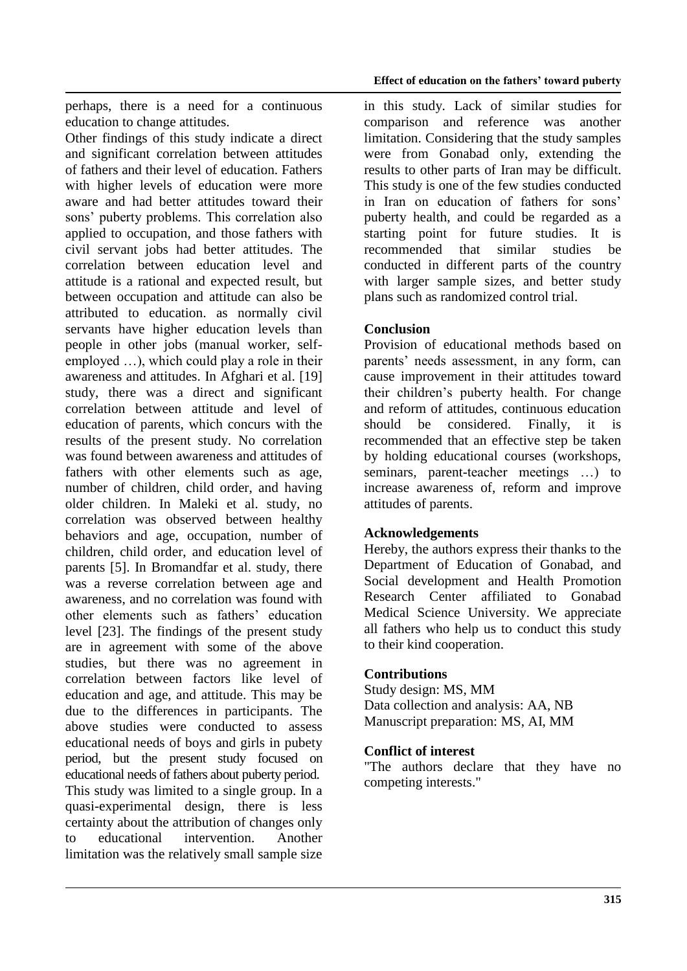perhaps, there is a need for a continuous education to change attitudes.

Other findings of this study indicate a direct and significant correlation between attitudes of fathers and their level of education. Fathers with higher levels of education were more aware and had better attitudes toward their sons' puberty problems. This correlation also applied to occupation, and those fathers with civil servant jobs had better attitudes. The correlation between education level and attitude is a rational and expected result, but between occupation and attitude can also be attributed to education. as normally civil servants have higher education levels than people in other jobs (manual worker, selfemployed …), which could play a role in their awareness and attitudes. In Afghari et al. [19] study, there was a direct and significant correlation between attitude and level of education of parents, which concurs with the results of the present study. No correlation was found between awareness and attitudes of fathers with other elements such as age, number of children, child order, and having older children. In Maleki et al. study, no correlation was observed between healthy behaviors and age, occupation, number of children, child order, and education level of parents [5]. In Bromandfar et al. study, there was a reverse correlation between age and awareness, and no correlation was found with other elements such as fathers' education level [23]. The findings of the present study are in agreement with some of the above studies, but there was no agreement in correlation between factors like level of education and age, and attitude. This may be due to the differences in participants. The above studies were conducted to assess educational needs of boys and girls in pubety period, but the present study focused on educational needs of fathers about puberty period. This study was limited to a single group. In a quasi-experimental design, there is less certainty about the attribution of changes only to educational intervention. Another limitation was the relatively small sample size

in this study. Lack of similar studies for comparison and reference was another limitation. Considering that the study samples were from Gonabad only, extending the results to other parts of Iran may be difficult. This study is one of the few studies conducted in Iran on education of fathers for sons' puberty health, and could be regarded as a starting point for future studies. It is recommended that similar studies be conducted in different parts of the country with larger sample sizes, and better study plans such as randomized control trial.

# **Conclusion**

Provision of educational methods based on parents' needs assessment, in any form, can cause improvement in their attitudes toward their children's puberty health. For change and reform of attitudes, continuous education should be considered. Finally, it is recommended that an effective step be taken by holding educational courses (workshops, seminars, parent-teacher meetings …) to increase awareness of, reform and improve attitudes of parents.

## **Acknowledgements**

Hereby, the authors express their thanks to the Department of Education of Gonabad, and Social development and Health Promotion Research Center affiliated to Gonabad Medical Science University. We appreciate all fathers who help us to conduct this study to their kind cooperation.

## **Contributions**

Study design: MS, MM Data collection and analysis: AA, NB Manuscript preparation: MS, AI, MM

### **Conflict of interest**

"The authors declare that they have no competing interests."